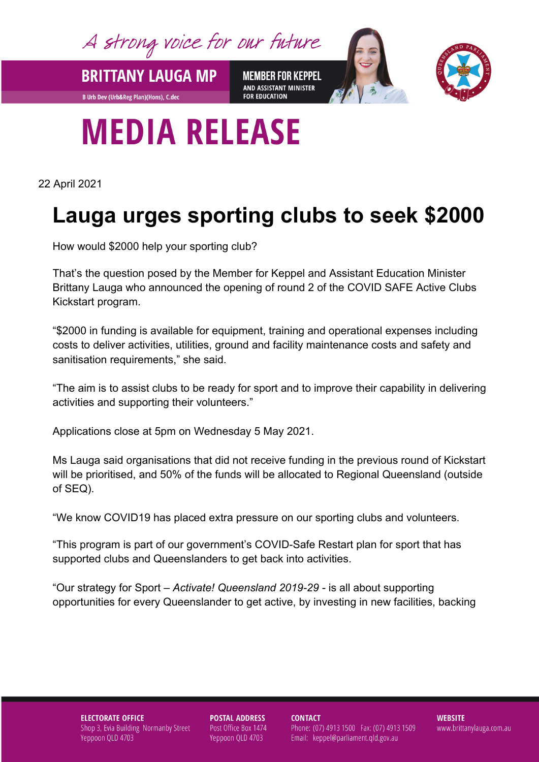A strong voice for our future

**BRITTANY LAUGA MP** 

**B Urb Dev (Urb&Reg Plan)(Hons), C.dec** 

**MEMBER FOR KEPPEL** AND ASSISTANT MINISTER **FOR EDUCATION** 



## **MEDIA RELEASE**

22 April 2021

## **Lauga urges sporting clubs to seek \$2000**

How would \$2000 help your sporting club?

That's the question posed by the Member for Keppel and Assistant Education Minister Brittany Lauga who announced the opening of round 2 of the COVID SAFE Active Clubs Kickstart program.

"\$2000 in funding is available for equipment, training and operational expenses including costs to deliver activities, utilities, ground and facility maintenance costs and safety and sanitisation requirements," she said.

"The aim is to assist clubs to be ready for sport and to improve their capability in delivering activities and supporting their volunteers."

Applications close at 5pm on Wednesday 5 May 2021.

Ms Lauga said organisations that did not receive funding in the previous round of Kickstart will be prioritised, and 50% of the funds will be allocated to Regional Queensland (outside of SEQ).

"We know COVID19 has placed extra pressure on our sporting clubs and volunteers.

"This program is part of our government's COVID-Safe Restart plan for sport that has supported clubs and Queenslanders to get back into activities.

"Our strategy for Sport – *Activate! Queensland 2019-29 -* is all about supporting opportunities for every Queenslander to get active, by investing in new facilities, backing

**ELECTORATE OFFICE** Shop 3, Evia Building Normanby Street Yeppoon QLD 4703

**POSTAL ADDRESS** Post Office Box 1474 Yeppoon QLD 4703

**CONTACT** 

Phone: (07) 4913 1500 Fax: (07) 4913 1509 Email: keppel@parliament.qld.gov.au

**WEBSITE** www.brittanylauga.com.au